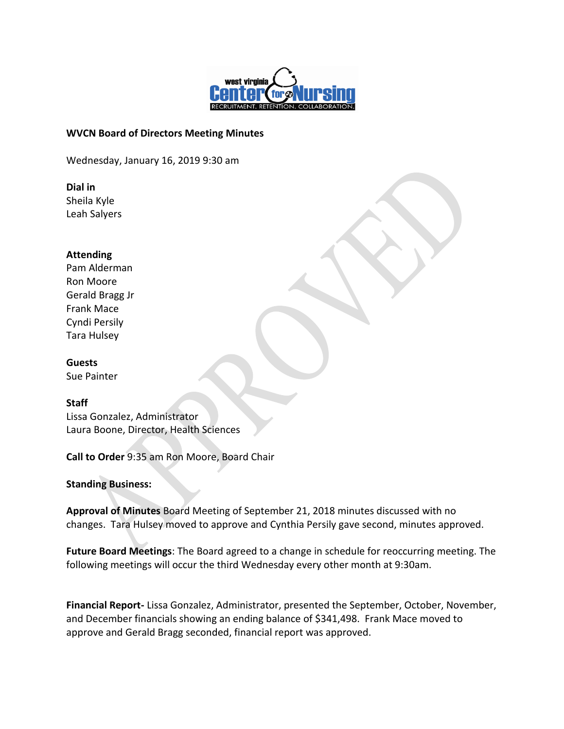

#### **WVCN Board of Directors Meeting Minutes**

Wednesday, January 16, 2019 9:30 am

**Dial in** Sheila Kyle Leah Salyers

#### **Attending**

Pam Alderman Ron Moore Gerald Bragg Jr Frank Mace Cyndi Persily Tara Hulsey

**Guests**

Sue Painter

### **Staff**

Lissa Gonzalez, Administrator Laura Boone, Director, Health Sciences

**Call to Order** 9:35 am Ron Moore, Board Chair

**Standing Business:**

**Approval of Minutes** Board Meeting of September 21, 2018 minutes discussed with no changes. Tara Hulsey moved to approve and Cynthia Persily gave second, minutes approved.

**Future Board Meetings**: The Board agreed to a change in schedule for reoccurring meeting. The following meetings will occur the third Wednesday every other month at 9:30am.

**Financial Report-** Lissa Gonzalez, Administrator, presented the September, October, November, and December financials showing an ending balance of \$341,498. Frank Mace moved to approve and Gerald Bragg seconded, financial report was approved.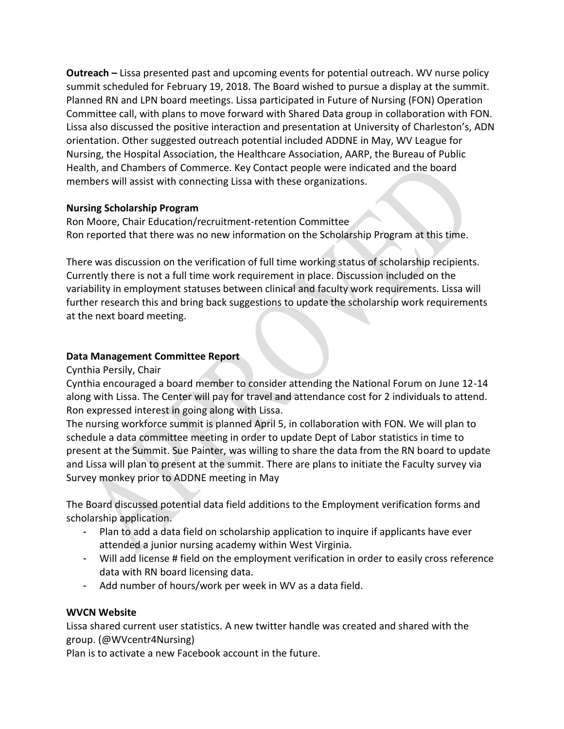**Outreach –** Lissa presented past and upcoming events for potential outreach. WV nurse policy summit scheduled for February 19, 2018. The Board wished to pursue a display at the summit. Planned RN and LPN board meetings. Lissa participated in Future of Nursing (FON) Operation Committee call, with plans to move forward with Shared Data group in collaboration with FON. Lissa also discussed the positive interaction and presentation at University of Charleston's, ADN orientation. Other suggested outreach potential included ADDNE in May, WV League for Nursing, the Hospital Association, the Healthcare Association, AARP, the Bureau of Public Health, and Chambers of Commerce. Key Contact people were indicated and the board members will assist with connecting Lissa with these organizations.

## **Nursing Scholarship Program**

Ron Moore, Chair Education/recruitment-retention Committee Ron reported that there was no new information on the Scholarship Program at this time.

There was discussion on the verification of full time working status of scholarship recipients. Currently there is not a full time work requirement in place. Discussion included on the variability in employment statuses between clinical and faculty work requirements. Lissa will further research this and bring back suggestions to update the scholarship work requirements at the next board meeting.

# **Data Management Committee Report**

Cynthia Persily, Chair

Cynthia encouraged a board member to consider attending the National Forum on June 12-14 along with Lissa. The Center will pay for travel and attendance cost for 2 individuals to attend. Ron expressed interest in going along with Lissa.

The nursing workforce summit is planned April 5, in collaboration with FON. We will plan to schedule a data committee meeting in order to update Dept of Labor statistics in time to present at the Summit. Sue Painter, was willing to share the data from the RN board to update and Lissa will plan to present at the summit. There are plans to initiate the Faculty survey via Survey monkey prior to ADDNE meeting in May

The Board discussed potential data field additions to the Employment verification forms and scholarship application.

- Plan to add a data field on scholarship application to inquire if applicants have ever attended a junior nursing academy within West Virginia.
- Will add license # field on the employment verification in order to easily cross reference data with RN board licensing data.
- Add number of hours/work per week in WV as a data field.

# **WVCN Website**

Lissa shared current user statistics. A new twitter handle was created and shared with the group. (@WVcentr4Nursing)

Plan is to activate a new Facebook account in the future.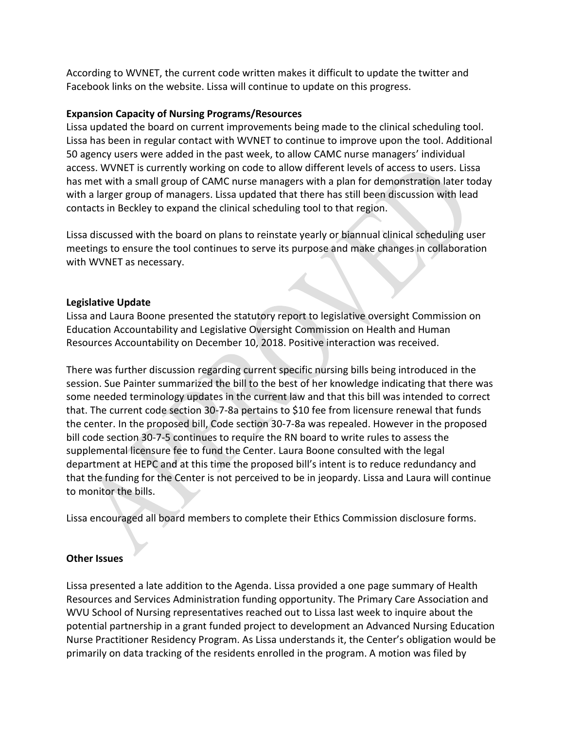According to WVNET, the current code written makes it difficult to update the twitter and Facebook links on the website. Lissa will continue to update on this progress.

## **Expansion Capacity of Nursing Programs/Resources**

Lissa updated the board on current improvements being made to the clinical scheduling tool. Lissa has been in regular contact with WVNET to continue to improve upon the tool. Additional 50 agency users were added in the past week, to allow CAMC nurse managers' individual access. WVNET is currently working on code to allow different levels of access to users. Lissa has met with a small group of CAMC nurse managers with a plan for demonstration later today with a larger group of managers. Lissa updated that there has still been discussion with lead contacts in Beckley to expand the clinical scheduling tool to that region.

Lissa discussed with the board on plans to reinstate yearly or biannual clinical scheduling user meetings to ensure the tool continues to serve its purpose and make changes in collaboration with WVNET as necessary.

### **Legislative Update**

Lissa and Laura Boone presented the statutory report to legislative oversight Commission on Education Accountability and Legislative Oversight Commission on Health and Human Resources Accountability on December 10, 2018. Positive interaction was received.

There was further discussion regarding current specific nursing bills being introduced in the session. Sue Painter summarized the bill to the best of her knowledge indicating that there was some needed terminology updates in the current law and that this bill was intended to correct that. The current code section 30-7-8a pertains to \$10 fee from licensure renewal that funds the center. In the proposed bill, Code section 30-7-8a was repealed. However in the proposed bill code section 30-7-5 continues to require the RN board to write rules to assess the supplemental licensure fee to fund the Center. Laura Boone consulted with the legal department at HEPC and at this time the proposed bill's intent is to reduce redundancy and that the funding for the Center is not perceived to be in jeopardy. Lissa and Laura will continue to monitor the bills.

Lissa encouraged all board members to complete their Ethics Commission disclosure forms.

### **Other Issues**

Lissa presented a late addition to the Agenda. Lissa provided a one page summary of Health Resources and Services Administration funding opportunity. The Primary Care Association and WVU School of Nursing representatives reached out to Lissa last week to inquire about the potential partnership in a grant funded project to development an Advanced Nursing Education Nurse Practitioner Residency Program. As Lissa understands it, the Center's obligation would be primarily on data tracking of the residents enrolled in the program. A motion was filed by